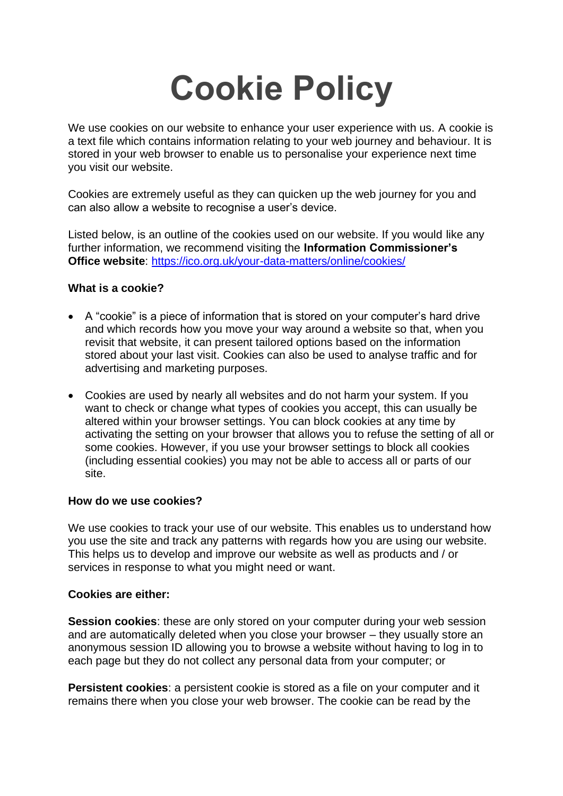# **Cookie Policy**

We use cookies on our website to enhance your user experience with us. A cookie is a text file which contains information relating to your web journey and behaviour. It is stored in your web browser to enable us to personalise your experience next time you visit our website.

Cookies are extremely useful as they can quicken up the web journey for you and can also allow a website to recognise a user's device.

Listed below, is an outline of the cookies used on our website. If you would like any further information, we recommend visiting the **Information Commissioner's Office [website](https://ico.org.uk/for-the-public/online/cookies/)**: <https://ico.org.uk/your-data-matters/online/cookies/>

## **What is a cookie?**

- A "cookie" is a piece of information that is stored on your computer's hard drive and which records how you move your way around a website so that, when you revisit that website, it can present tailored options based on the information stored about your last visit. Cookies can also be used to analyse traffic and for advertising and marketing purposes.
- Cookies are used by nearly all websites and do not harm your system. If you want to check or change what types of cookies you accept, this can usually be altered within your browser settings. You can block cookies at any time by activating the setting on your browser that allows you to refuse the setting of all or some cookies. However, if you use your browser settings to block all cookies (including essential cookies) you may not be able to access all or parts of our site.

### **How do we use cookies?**

We use cookies to track your use of our website. This enables us to understand how you use the site and track any patterns with regards how you are using our website. This helps us to develop and improve our website as well as products and / or services in response to what you might need or want.

### **Cookies are either:**

**Session cookies:** these are only stored on your computer during your web session and are automatically deleted when you close your browser – they usually store an anonymous session ID allowing you to browse a website without having to log in to each page but they do not collect any personal data from your computer; or

**Persistent cookies**: a persistent cookie is stored as a file on your computer and it remains there when you close your web browser. The cookie can be read by the